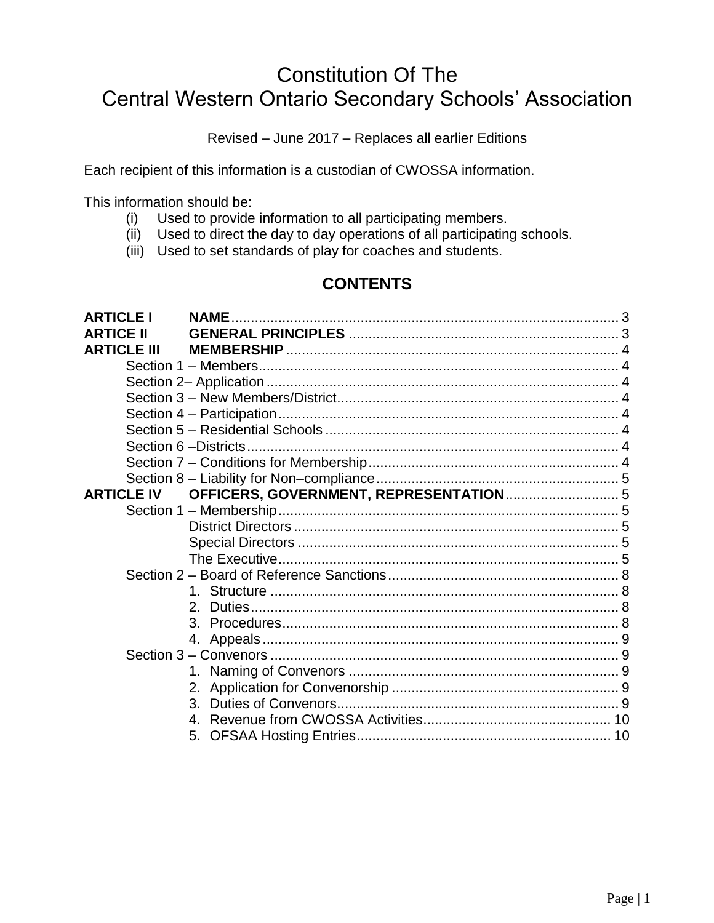# Constitution Of The Central Western Ontario Secondary Schools' Association

Revised – June 2017 – Replaces all earlier Editions

Each recipient of this information is a custodian of CWOSSA information.

This information should be:

- (i) Used to provide information to all participating members.
- (ii) Used to direct the day to day operations of all participating schools.
- (iii) Used to set standards of play for coaches and students.

## **CONTENTS**

| <b>ARTICLE I</b>   | <b>NAME</b>                            |  |
|--------------------|----------------------------------------|--|
| <b>ARTICE II</b>   |                                        |  |
| <b>ARTICLE III</b> |                                        |  |
|                    |                                        |  |
|                    |                                        |  |
|                    |                                        |  |
|                    |                                        |  |
|                    |                                        |  |
|                    |                                        |  |
|                    |                                        |  |
|                    |                                        |  |
| <b>ARTICLE IV</b>  | OFFICERS, GOVERNMENT, REPRESENTATION 5 |  |
|                    |                                        |  |
|                    |                                        |  |
|                    |                                        |  |
|                    |                                        |  |
|                    |                                        |  |
|                    |                                        |  |
|                    | $2^{\circ}$                            |  |
|                    |                                        |  |
|                    |                                        |  |
|                    |                                        |  |
|                    |                                        |  |
|                    |                                        |  |
|                    | 3.                                     |  |
|                    | 4.                                     |  |
|                    | 5.                                     |  |
|                    |                                        |  |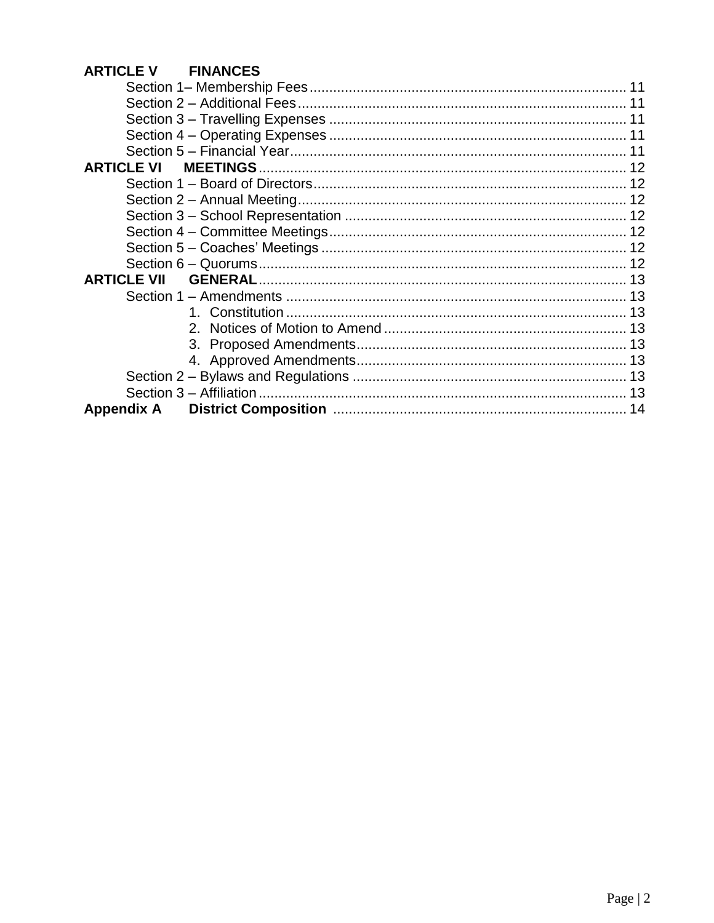## **ARTICLE V FINANCES**

| <b>ARTICLE VI</b>  |
|--------------------|
|                    |
|                    |
|                    |
|                    |
|                    |
|                    |
| <b>ARTICLE VII</b> |
|                    |
|                    |
|                    |
|                    |
|                    |
|                    |
|                    |
| <b>Appendix A</b>  |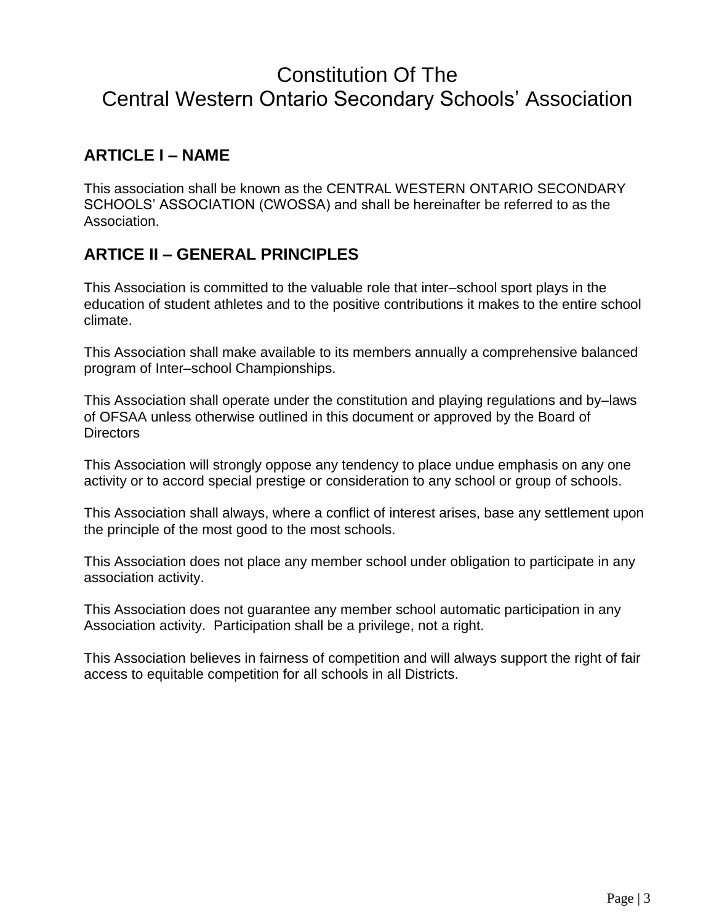# Constitution Of The Central Western Ontario Secondary Schools' Association

## **ARTICLE I – NAME**

This association shall be known as the CENTRAL WESTERN ONTARIO SECONDARY SCHOOLS' ASSOCIATION (CWOSSA) and shall be hereinafter be referred to as the Association.

## **ARTICE II – GENERAL PRINCIPLES**

This Association is committed to the valuable role that inter–school sport plays in the education of student athletes and to the positive contributions it makes to the entire school climate.

This Association shall make available to its members annually a comprehensive balanced program of Inter–school Championships.

This Association shall operate under the constitution and playing regulations and by–laws of OFSAA unless otherwise outlined in this document or approved by the Board of **Directors** 

This Association will strongly oppose any tendency to place undue emphasis on any one activity or to accord special prestige or consideration to any school or group of schools.

This Association shall always, where a conflict of interest arises, base any settlement upon the principle of the most good to the most schools.

This Association does not place any member school under obligation to participate in any association activity.

This Association does not guarantee any member school automatic participation in any Association activity. Participation shall be a privilege, not a right.

This Association believes in fairness of competition and will always support the right of fair access to equitable competition for all schools in all Districts.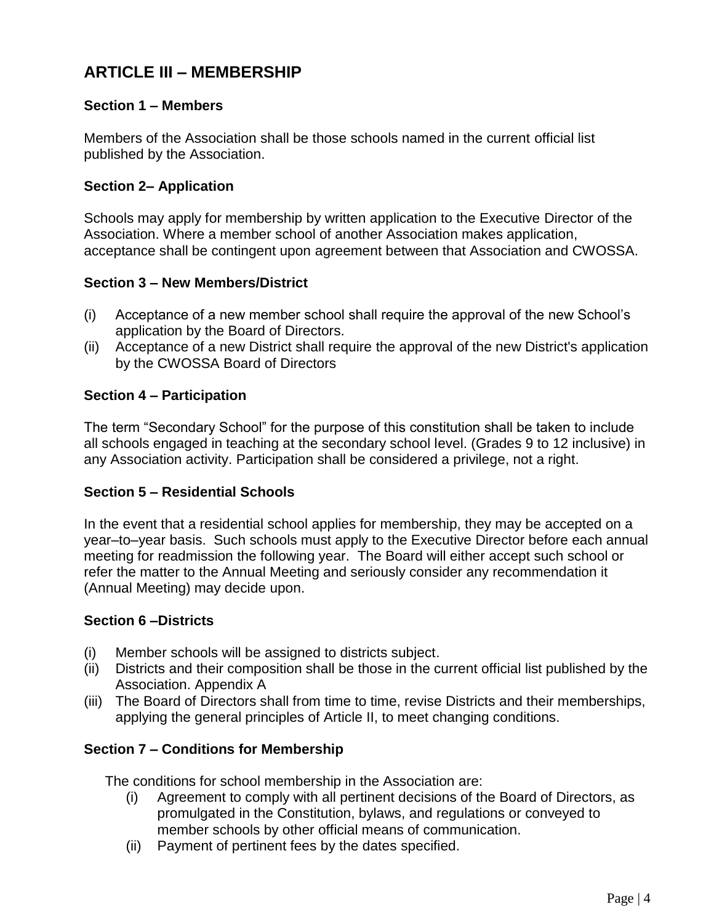## **ARTICLE III – MEMBERSHIP**

## **Section 1 – Members**

Members of the Association shall be those schools named in the current official list published by the Association.

### **Section 2– Application**

Schools may apply for membership by written application to the Executive Director of the Association. Where a member school of another Association makes application, acceptance shall be contingent upon agreement between that Association and CWOSSA.

## **Section 3 – New Members/District**

- (i) Acceptance of a new member school shall require the approval of the new School's application by the Board of Directors.
- (ii) Acceptance of a new District shall require the approval of the new District's application by the CWOSSA Board of Directors

## **Section 4 – Participation**

The term "Secondary School" for the purpose of this constitution shall be taken to include all schools engaged in teaching at the secondary school level. (Grades 9 to 12 inclusive) in any Association activity. Participation shall be considered a privilege, not a right.

### **Section 5 – Residential Schools**

In the event that a residential school applies for membership, they may be accepted on a year–to–year basis. Such schools must apply to the Executive Director before each annual meeting for readmission the following year. The Board will either accept such school or refer the matter to the Annual Meeting and seriously consider any recommendation it (Annual Meeting) may decide upon.

### **Section 6 –Districts**

- (i) Member schools will be assigned to districts subject.
- (ii) Districts and their composition shall be those in the current official list published by the Association. Appendix A
- (iii) The Board of Directors shall from time to time, revise Districts and their memberships, applying the general principles of Article II, to meet changing conditions.

## **Section 7 – Conditions for Membership**

The conditions for school membership in the Association are:

- (i) Agreement to comply with all pertinent decisions of the Board of Directors, as promulgated in the Constitution, bylaws, and regulations or conveyed to member schools by other official means of communication.
- (ii) Payment of pertinent fees by the dates specified.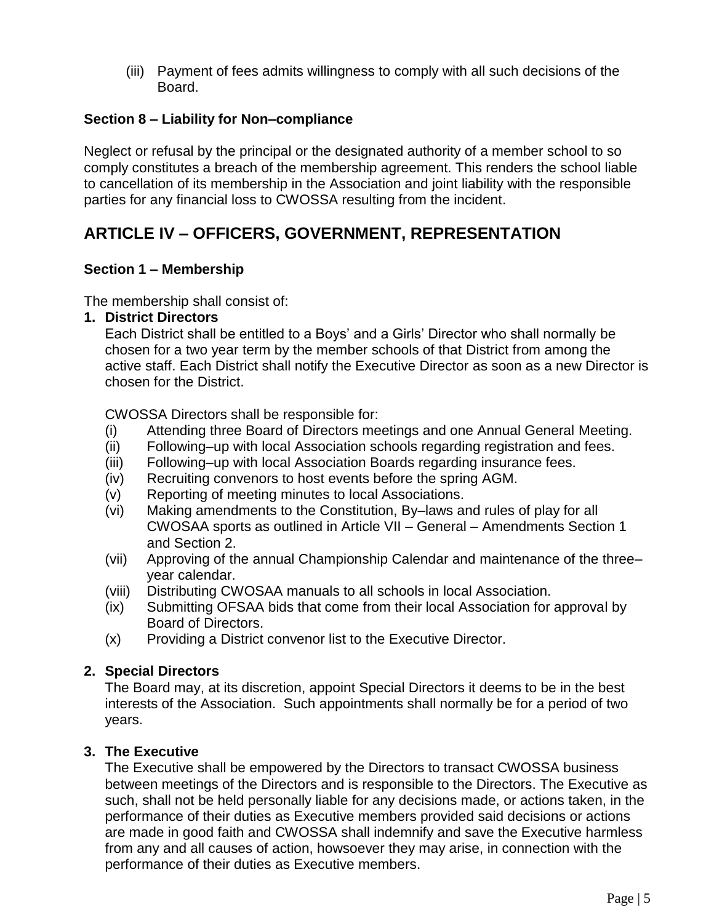(iii) Payment of fees admits willingness to comply with all such decisions of the Board.

## **Section 8 – Liability for Non–compliance**

Neglect or refusal by the principal or the designated authority of a member school to so comply constitutes a breach of the membership agreement. This renders the school liable to cancellation of its membership in the Association and joint liability with the responsible parties for any financial loss to CWOSSA resulting from the incident.

## **ARTICLE IV – OFFICERS, GOVERNMENT, REPRESENTATION**

## **Section 1 – Membership**

The membership shall consist of:

#### **1. District Directors**

Each District shall be entitled to a Boys' and a Girls' Director who shall normally be chosen for a two year term by the member schools of that District from among the active staff. Each District shall notify the Executive Director as soon as a new Director is chosen for the District.

CWOSSA Directors shall be responsible for:

- (i) Attending three Board of Directors meetings and one Annual General Meeting.
- (ii) Following–up with local Association schools regarding registration and fees.
- (iii) Following–up with local Association Boards regarding insurance fees.
- (iv) Recruiting convenors to host events before the spring AGM.
- (v) Reporting of meeting minutes to local Associations.
- (vi) Making amendments to the Constitution, By–laws and rules of play for all CWOSAA sports as outlined in Article VII – General – Amendments Section 1 and Section 2.
- (vii) Approving of the annual Championship Calendar and maintenance of the three– year calendar.
- (viii) Distributing CWOSAA manuals to all schools in local Association.
- (ix) Submitting OFSAA bids that come from their local Association for approval by Board of Directors.
- (x) Providing a District convenor list to the Executive Director.

### **2. Special Directors**

The Board may, at its discretion, appoint Special Directors it deems to be in the best interests of the Association. Such appointments shall normally be for a period of two years.

### **3. The Executive**

The Executive shall be empowered by the Directors to transact CWOSSA business between meetings of the Directors and is responsible to the Directors. The Executive as such, shall not be held personally liable for any decisions made, or actions taken, in the performance of their duties as Executive members provided said decisions or actions are made in good faith and CWOSSA shall indemnify and save the Executive harmless from any and all causes of action, howsoever they may arise, in connection with the performance of their duties as Executive members.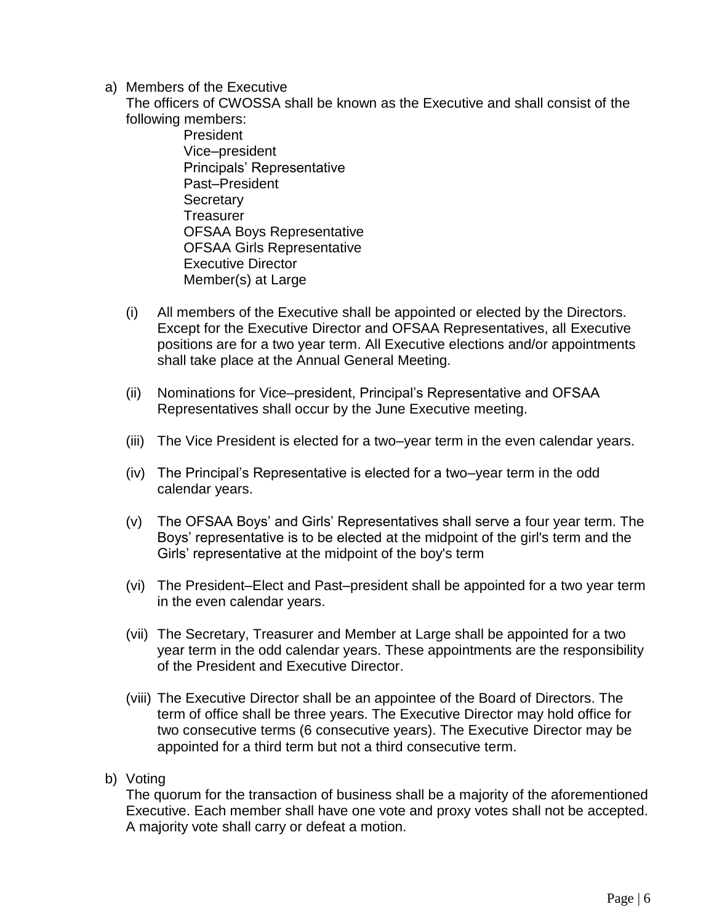a) Members of the Executive

The officers of CWOSSA shall be known as the Executive and shall consist of the following members:

President Vice–president Principals' Representative Past–President **Secretary Treasurer** OFSAA Boys Representative OFSAA Girls Representative Executive Director Member(s) at Large

- (i) All members of the Executive shall be appointed or elected by the Directors. Except for the Executive Director and OFSAA Representatives, all Executive positions are for a two year term. All Executive elections and/or appointments shall take place at the Annual General Meeting.
- (ii) Nominations for Vice–president, Principal's Representative and OFSAA Representatives shall occur by the June Executive meeting.
- (iii) The Vice President is elected for a two–year term in the even calendar years.
- (iv) The Principal's Representative is elected for a two–year term in the odd calendar years.
- (v) The OFSAA Boys' and Girls' Representatives shall serve a four year term. The Boys' representative is to be elected at the midpoint of the girl's term and the Girls' representative at the midpoint of the boy's term
- (vi) The President–Elect and Past–president shall be appointed for a two year term in the even calendar years.
- (vii) The Secretary, Treasurer and Member at Large shall be appointed for a two year term in the odd calendar years. These appointments are the responsibility of the President and Executive Director.
- (viii) The Executive Director shall be an appointee of the Board of Directors. The term of office shall be three years. The Executive Director may hold office for two consecutive terms (6 consecutive years). The Executive Director may be appointed for a third term but not a third consecutive term.
- b) Voting

The quorum for the transaction of business shall be a majority of the aforementioned Executive. Each member shall have one vote and proxy votes shall not be accepted. A majority vote shall carry or defeat a motion.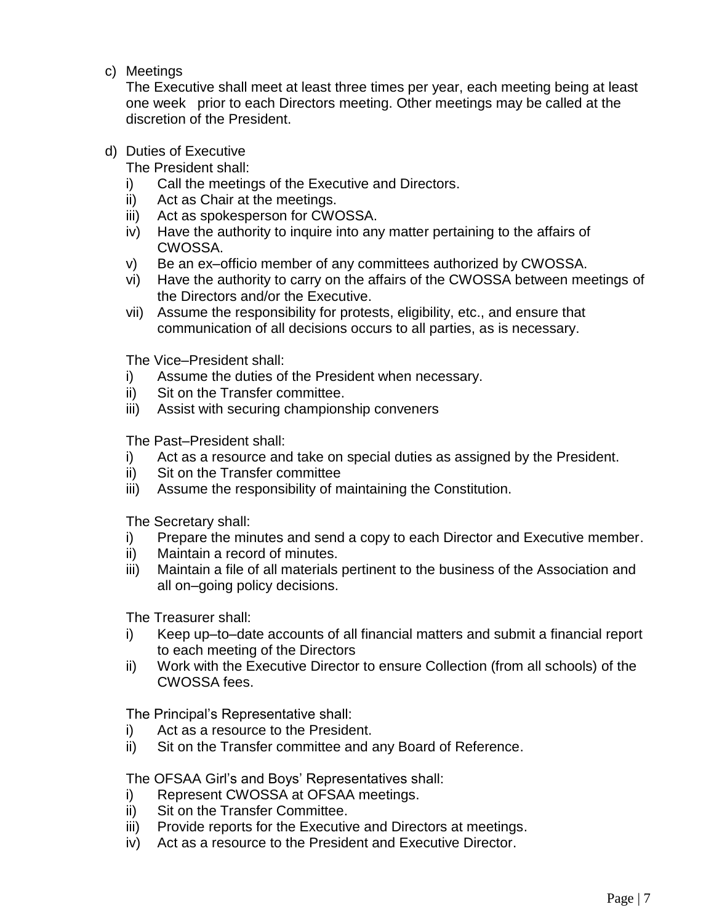c) Meetings

The Executive shall meet at least three times per year, each meeting being at least one week prior to each Directors meeting. Other meetings may be called at the discretion of the President.

### d) Duties of Executive

The President shall:

- i) Call the meetings of the Executive and Directors.
- ii) Act as Chair at the meetings.
- iii) Act as spokesperson for CWOSSA.
- iv) Have the authority to inquire into any matter pertaining to the affairs of CWOSSA.
- v) Be an ex–officio member of any committees authorized by CWOSSA.
- vi) Have the authority to carry on the affairs of the CWOSSA between meetings of the Directors and/or the Executive.
- vii) Assume the responsibility for protests, eligibility, etc., and ensure that communication of all decisions occurs to all parties, as is necessary.

The Vice–President shall:

- i) Assume the duties of the President when necessary.
- ii) Sit on the Transfer committee.
- iii) Assist with securing championship conveners

The Past–President shall:

- i) Act as a resource and take on special duties as assigned by the President.
- ii) Sit on the Transfer committee
- iii) Assume the responsibility of maintaining the Constitution.

The Secretary shall:

- i) Prepare the minutes and send a copy to each Director and Executive member.
- ii) Maintain a record of minutes.
- iii) Maintain a file of all materials pertinent to the business of the Association and all on–going policy decisions.

The Treasurer shall:

- i) Keep up–to–date accounts of all financial matters and submit a financial report to each meeting of the Directors
- ii) Work with the Executive Director to ensure Collection (from all schools) of the CWOSSA fees.

The Principal's Representative shall:

- i) Act as a resource to the President.
- ii) Sit on the Transfer committee and any Board of Reference.

The OFSAA Girl's and Boys' Representatives shall:

- i) Represent CWOSSA at OFSAA meetings.
- ii) Sit on the Transfer Committee.
- iii) Provide reports for the Executive and Directors at meetings.
- iv) Act as a resource to the President and Executive Director.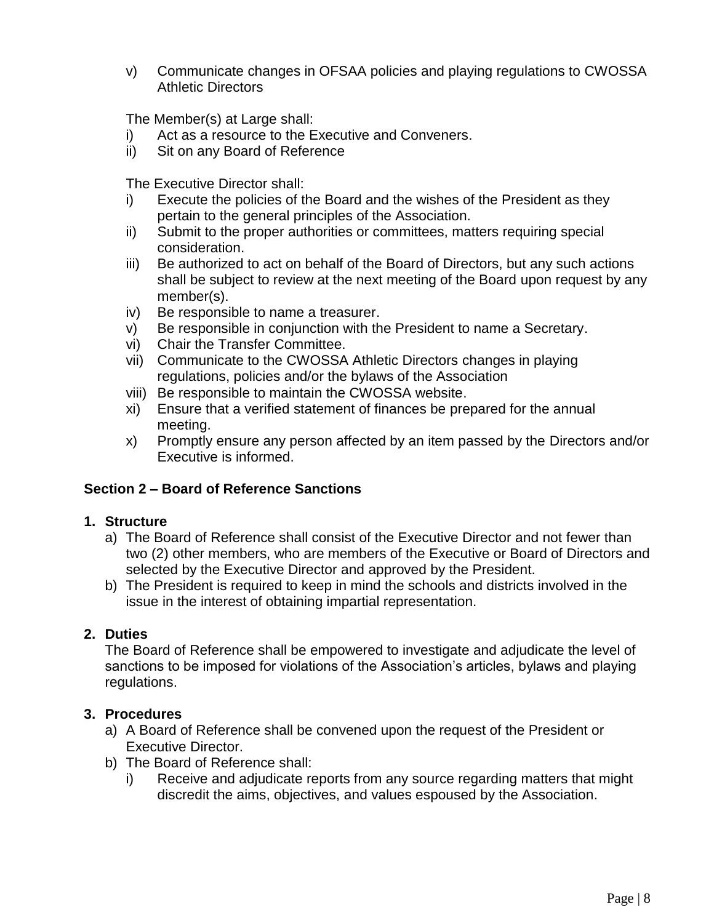v) Communicate changes in OFSAA policies and playing regulations to CWOSSA Athletic Directors

The Member(s) at Large shall:

- i) Act as a resource to the Executive and Conveners.
- ii) Sit on any Board of Reference

The Executive Director shall:

- i) Execute the policies of the Board and the wishes of the President as they pertain to the general principles of the Association.
- ii) Submit to the proper authorities or committees, matters requiring special consideration.
- iii) Be authorized to act on behalf of the Board of Directors, but any such actions shall be subject to review at the next meeting of the Board upon request by any member(s).
- iv) Be responsible to name a treasurer.
- v) Be responsible in conjunction with the President to name a Secretary.
- vi) Chair the Transfer Committee.
- vii) Communicate to the CWOSSA Athletic Directors changes in playing regulations, policies and/or the bylaws of the Association
- viii) Be responsible to maintain the CWOSSA website.
- xi) Ensure that a verified statement of finances be prepared for the annual meeting.
- x) Promptly ensure any person affected by an item passed by the Directors and/or Executive is informed.

## **Section 2 – Board of Reference Sanctions**

## **1. Structure**

- a) The Board of Reference shall consist of the Executive Director and not fewer than two (2) other members, who are members of the Executive or Board of Directors and selected by the Executive Director and approved by the President.
- b) The President is required to keep in mind the schools and districts involved in the issue in the interest of obtaining impartial representation.

## **2. Duties**

The Board of Reference shall be empowered to investigate and adjudicate the level of sanctions to be imposed for violations of the Association's articles, bylaws and playing regulations.

## **3. Procedures**

- a) A Board of Reference shall be convened upon the request of the President or Executive Director.
- b) The Board of Reference shall:
	- i) Receive and adjudicate reports from any source regarding matters that might discredit the aims, objectives, and values espoused by the Association.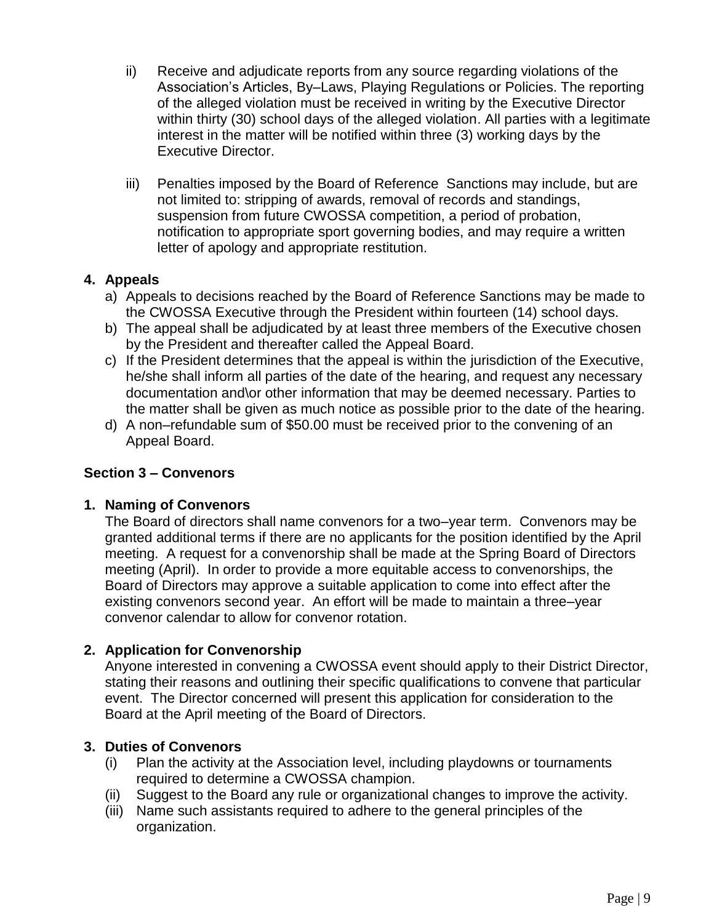- ii) Receive and adjudicate reports from any source regarding violations of the Association's Articles, By–Laws, Playing Regulations or Policies. The reporting of the alleged violation must be received in writing by the Executive Director within thirty (30) school days of the alleged violation. All parties with a legitimate interest in the matter will be notified within three (3) working days by the Executive Director.
- iii) Penalties imposed by the Board of Reference Sanctions may include, but are not limited to: stripping of awards, removal of records and standings, suspension from future CWOSSA competition, a period of probation, notification to appropriate sport governing bodies, and may require a written letter of apology and appropriate restitution.

## **4. Appeals**

- a) Appeals to decisions reached by the Board of Reference Sanctions may be made to the CWOSSA Executive through the President within fourteen (14) school days.
- b) The appeal shall be adjudicated by at least three members of the Executive chosen by the President and thereafter called the Appeal Board.
- c) If the President determines that the appeal is within the jurisdiction of the Executive, he/she shall inform all parties of the date of the hearing, and request any necessary documentation and\or other information that may be deemed necessary. Parties to the matter shall be given as much notice as possible prior to the date of the hearing.
- d) A non–refundable sum of \$50.00 must be received prior to the convening of an Appeal Board.

## **Section 3 – Convenors**

### **1. Naming of Convenors**

The Board of directors shall name convenors for a two–year term. Convenors may be granted additional terms if there are no applicants for the position identified by the April meeting. A request for a convenorship shall be made at the Spring Board of Directors meeting (April). In order to provide a more equitable access to convenorships, the Board of Directors may approve a suitable application to come into effect after the existing convenors second year. An effort will be made to maintain a three–year convenor calendar to allow for convenor rotation.

### **2. Application for Convenorship**

Anyone interested in convening a CWOSSA event should apply to their District Director, stating their reasons and outlining their specific qualifications to convene that particular event. The Director concerned will present this application for consideration to the Board at the April meeting of the Board of Directors.

### **3. Duties of Convenors**

- (i) Plan the activity at the Association level, including playdowns or tournaments required to determine a CWOSSA champion.
- (ii) Suggest to the Board any rule or organizational changes to improve the activity.
- (iii) Name such assistants required to adhere to the general principles of the organization.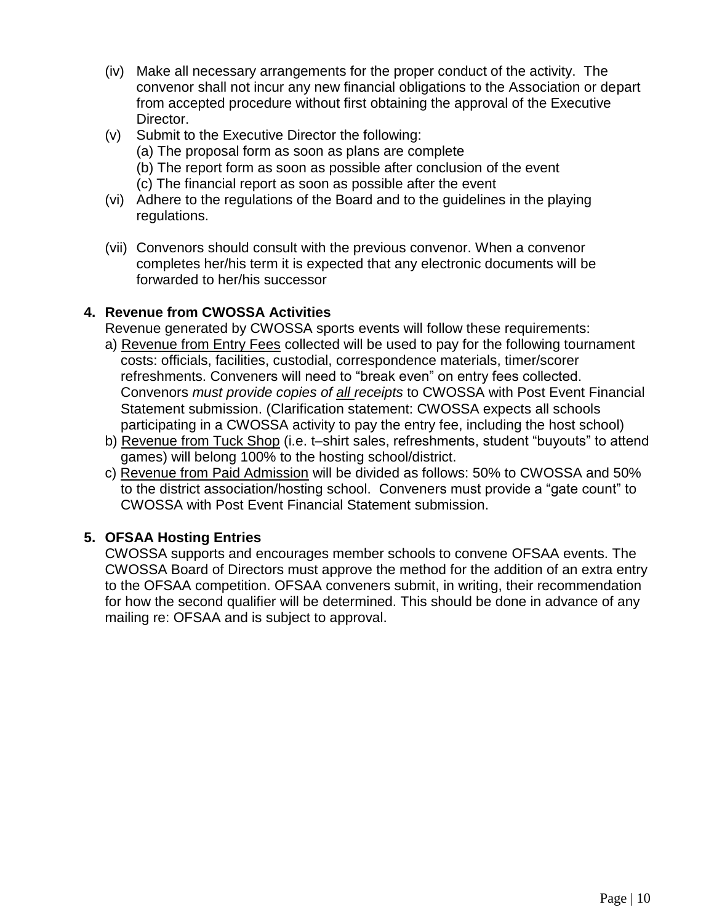- (iv) Make all necessary arrangements for the proper conduct of the activity. The convenor shall not incur any new financial obligations to the Association or depart from accepted procedure without first obtaining the approval of the Executive Director.
- (v) Submit to the Executive Director the following:
	- (a) The proposal form as soon as plans are complete
	- (b) The report form as soon as possible after conclusion of the event
	- (c) The financial report as soon as possible after the event
- (vi) Adhere to the regulations of the Board and to the guidelines in the playing regulations.
- (vii) Convenors should consult with the previous convenor. When a convenor completes her/his term it is expected that any electronic documents will be forwarded to her/his successor

## **4. Revenue from CWOSSA Activities**

Revenue generated by CWOSSA sports events will follow these requirements:

- a) Revenue from Entry Fees collected will be used to pay for the following tournament costs: officials, facilities, custodial, correspondence materials, timer/scorer refreshments. Conveners will need to "break even" on entry fees collected. Convenors *must provide copies of all receipts* to CWOSSA with Post Event Financial Statement submission. (Clarification statement: CWOSSA expects all schools participating in a CWOSSA activity to pay the entry fee, including the host school)
- b) Revenue from Tuck Shop (i.e. t-shirt sales, refreshments, student "buyouts" to attend games) will belong 100% to the hosting school/district.
- c) Revenue from Paid Admission will be divided as follows: 50% to CWOSSA and 50% to the district association/hosting school. Conveners must provide a "gate count" to CWOSSA with Post Event Financial Statement submission.

## **5. OFSAA Hosting Entries**

CWOSSA supports and encourages member schools to convene OFSAA events. The CWOSSA Board of Directors must approve the method for the addition of an extra entry to the OFSAA competition. OFSAA conveners submit, in writing, their recommendation for how the second qualifier will be determined. This should be done in advance of any mailing re: OFSAA and is subject to approval.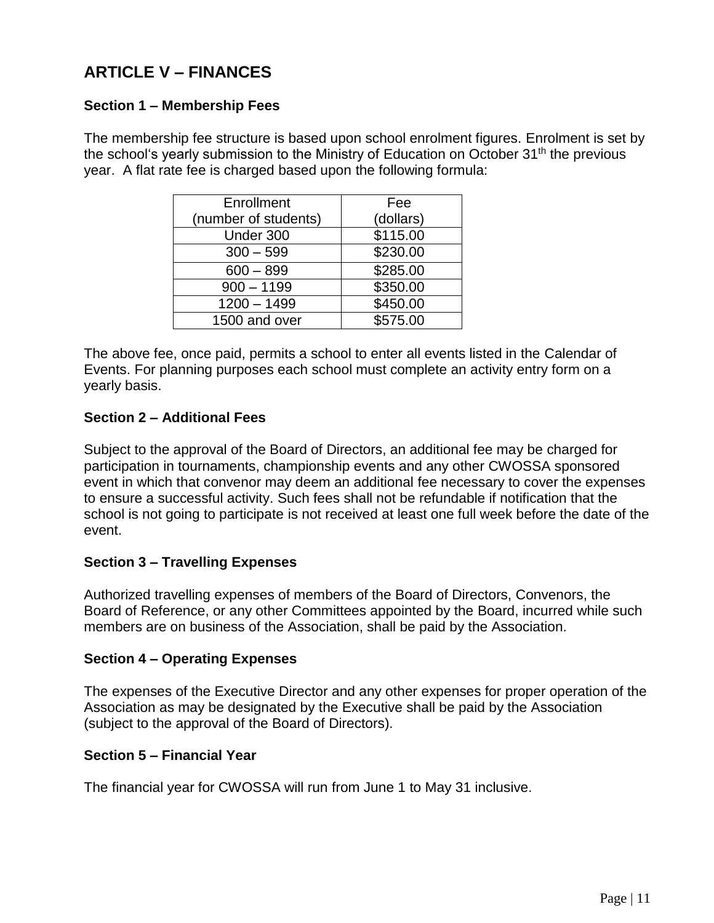## **ARTICLE V – FINANCES**

## **Section 1 – Membership Fees**

The membership fee structure is based upon school enrolment figures. Enrolment is set by the school's yearly submission to the Ministry of Education on October 31<sup>th</sup> the previous year. A flat rate fee is charged based upon the following formula:

| Enrollment           | Fee       |
|----------------------|-----------|
| (number of students) | (dollars) |
| Under 300            | \$115.00  |
| $300 - 599$          | \$230.00  |
| $600 - 899$          | \$285.00  |
| $900 - 1199$         | \$350.00  |
| $1200 - 1499$        | \$450.00  |
| 1500 and over        | \$575.00  |

The above fee, once paid, permits a school to enter all events listed in the Calendar of Events. For planning purposes each school must complete an activity entry form on a yearly basis.

## **Section 2 – Additional Fees**

Subject to the approval of the Board of Directors, an additional fee may be charged for participation in tournaments, championship events and any other CWOSSA sponsored event in which that convenor may deem an additional fee necessary to cover the expenses to ensure a successful activity. Such fees shall not be refundable if notification that the school is not going to participate is not received at least one full week before the date of the event.

## **Section 3 – Travelling Expenses**

Authorized travelling expenses of members of the Board of Directors, Convenors, the Board of Reference, or any other Committees appointed by the Board, incurred while such members are on business of the Association, shall be paid by the Association.

### **Section 4 – Operating Expenses**

The expenses of the Executive Director and any other expenses for proper operation of the Association as may be designated by the Executive shall be paid by the Association (subject to the approval of the Board of Directors).

### **Section 5 – Financial Year**

The financial year for CWOSSA will run from June 1 to May 31 inclusive.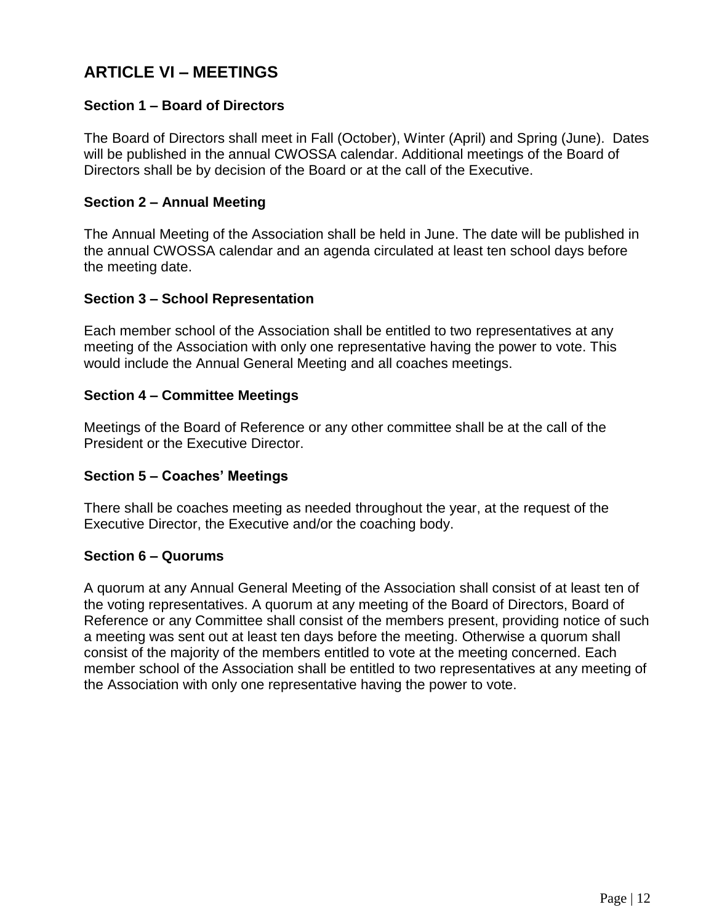## **ARTICLE VI – MEETINGS**

## **Section 1 – Board of Directors**

The Board of Directors shall meet in Fall (October), Winter (April) and Spring (June). Dates will be published in the annual CWOSSA calendar. Additional meetings of the Board of Directors shall be by decision of the Board or at the call of the Executive.

### **Section 2 – Annual Meeting**

The Annual Meeting of the Association shall be held in June. The date will be published in the annual CWOSSA calendar and an agenda circulated at least ten school days before the meeting date.

### **Section 3 – School Representation**

Each member school of the Association shall be entitled to two representatives at any meeting of the Association with only one representative having the power to vote. This would include the Annual General Meeting and all coaches meetings.

#### **Section 4 – Committee Meetings**

Meetings of the Board of Reference or any other committee shall be at the call of the President or the Executive Director.

### **Section 5 – Coaches' Meetings**

There shall be coaches meeting as needed throughout the year, at the request of the Executive Director, the Executive and/or the coaching body.

### **Section 6 – Quorums**

A quorum at any Annual General Meeting of the Association shall consist of at least ten of the voting representatives. A quorum at any meeting of the Board of Directors, Board of Reference or any Committee shall consist of the members present, providing notice of such a meeting was sent out at least ten days before the meeting. Otherwise a quorum shall consist of the majority of the members entitled to vote at the meeting concerned. Each member school of the Association shall be entitled to two representatives at any meeting of the Association with only one representative having the power to vote.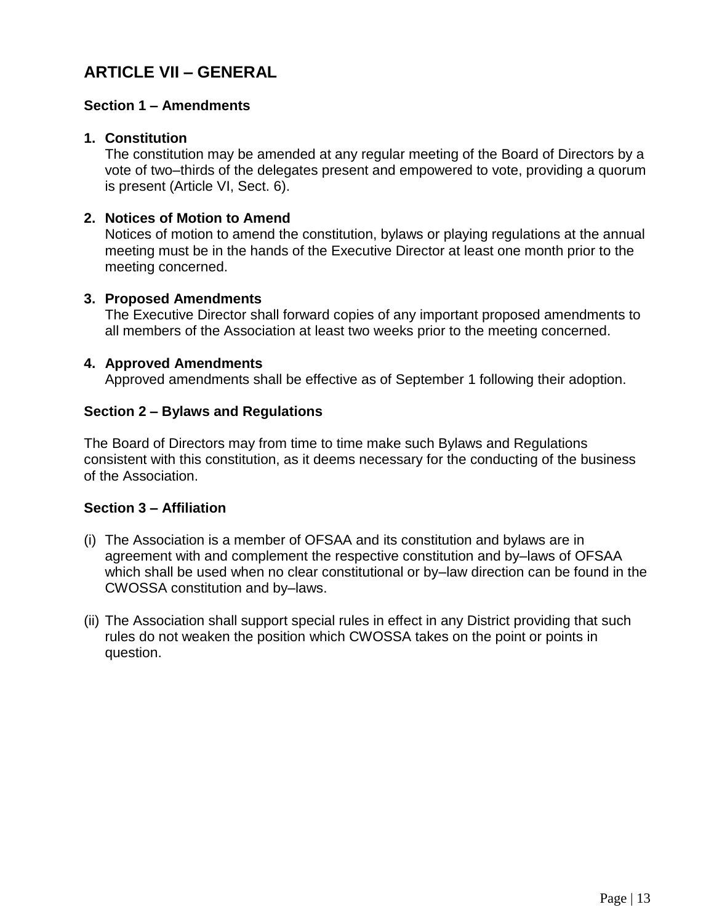## **ARTICLE VII – GENERAL**

### **Section 1 – Amendments**

#### **1. Constitution**

The constitution may be amended at any regular meeting of the Board of Directors by a vote of two–thirds of the delegates present and empowered to vote, providing a quorum is present (Article VI, Sect. 6).

### **2. Notices of Motion to Amend**

Notices of motion to amend the constitution, bylaws or playing regulations at the annual meeting must be in the hands of the Executive Director at least one month prior to the meeting concerned.

#### **3. Proposed Amendments**

The Executive Director shall forward copies of any important proposed amendments to all members of the Association at least two weeks prior to the meeting concerned.

#### **4. Approved Amendments**

Approved amendments shall be effective as of September 1 following their adoption.

#### **Section 2 – Bylaws and Regulations**

The Board of Directors may from time to time make such Bylaws and Regulations consistent with this constitution, as it deems necessary for the conducting of the business of the Association.

### **Section 3 – Affiliation**

- (i) The Association is a member of OFSAA and its constitution and bylaws are in agreement with and complement the respective constitution and by–laws of OFSAA which shall be used when no clear constitutional or by–law direction can be found in the CWOSSA constitution and by–laws.
- (ii) The Association shall support special rules in effect in any District providing that such rules do not weaken the position which CWOSSA takes on the point or points in question.